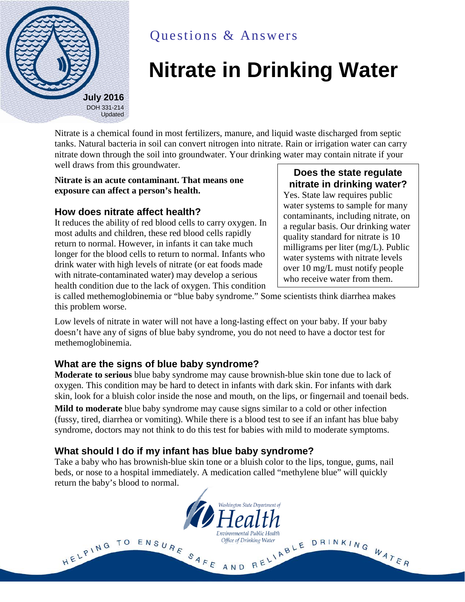

# Questions & Answers

# **Nitrate in Drinking Water**

Nitrate is a chemical found in most fertilizers, manure, and liquid waste discharged from septic tanks. Natural bacteria in soil can convert nitrogen into nitrate. Rain or irrigation water can carry nitrate down through the soil into groundwater. Your drinking water may contain nitrate if your well draws from this groundwater.

#### **Nitrate is an acute contaminant. That means one exposure can affect a person's health.**

#### **How does nitrate affect health?**

It reduces the ability of red blood cells to carry oxygen. In most adults and children, these red blood cells rapidly return to normal. However, in infants it can take much longer for the blood cells to return to normal. Infants who drink water with high levels of nitrate (or eat foods made with nitrate-contaminated water) may develop a serious health condition due to the lack of oxygen. This condition

### **Does the state regulate nitrate in drinking water?**

Yes. State law requires public water systems to sample for many contaminants, including nitrate, on a regular basis. Our drinking water quality standard for nitrate is 10 milligrams per liter (mg/L). Public water systems with nitrate levels over 10 mg/L must notify people who receive water from them.

is called methemoglobinemia or "blue baby syndrome." Some scientists think diarrhea makes this problem worse.

Low levels of nitrate in water will not have a long-lasting effect on your baby. If your baby doesn't have any of signs of blue baby syndrome, you do not need to have a doctor test for methemoglobinemia.

#### **What are the signs of blue baby syndrome?**

HELPING TO

**Moderate to serious** blue baby syndrome may cause brownish-blue skin tone due to lack of oxygen. This condition may be hard to detect in infants with dark skin. For infants with dark skin, look for a bluish color inside the nose and mouth, on the lips, or fingernail and toenail beds.

**Mild to moderate** blue baby syndrome may cause signs similar to a cold or other infection (fussy, tired, diarrhea or vomiting). While there is a blood test to see if an infant has blue baby syndrome, doctors may not think to do this test for babies with mild to moderate symptoms.

#### **What should I do if my infant has blue baby syndrome?**

Take a baby who has brownish-blue skin tone or a bluish color to the lips, tongue, gums, nail beds, or nose to a hospital immediately. A medication called "methylene blue" will quickly return the baby's blood to normal.

Washington State Department of

nvironmental Public Health:

Office of Drinking Water

ENSURE SAFE AND RELIABLE DRINKING WATER